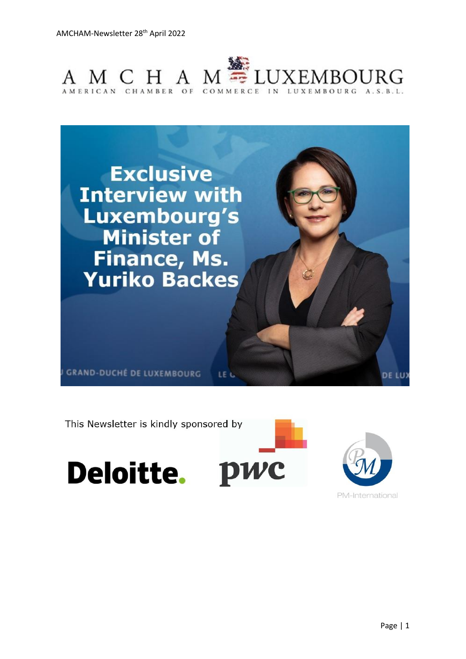



This Newsletter is kindly sponsored by

Deloitte. PWC



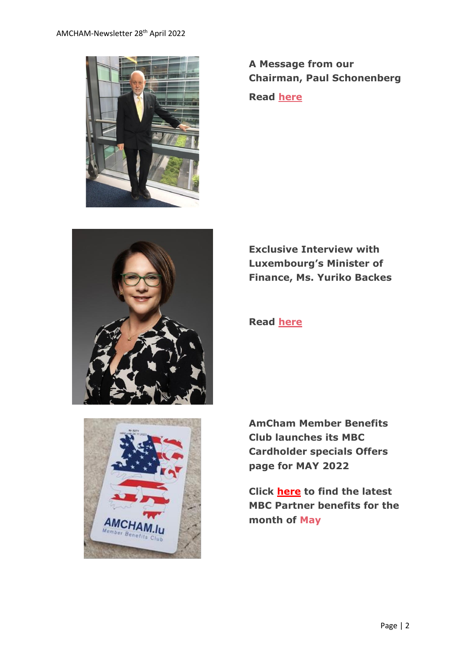



**A Message from our Chairman, Paul Schonenberg**

**Read [here](https://www.amcham.lu/newsletter/chairmans-remarks-28th-april-2022/)**

**Exclusive Interview with Luxembourg's Minister of Finance, Ms. Yuriko Backes**



**Read [here](https://www.amcham.lu/newsletter/exclusive-interview-with-luxembourgs-minister-of-finance-ms-yuriko-backes/)**

**AmCham Member Benefits Club launches its MBC Cardholder specials Offers page for MAY 2022**

**Click [here](https://www.amcham.lu/ambc-special-offers-may-2022/) to find the latest MBC Partner benefits for the month of May**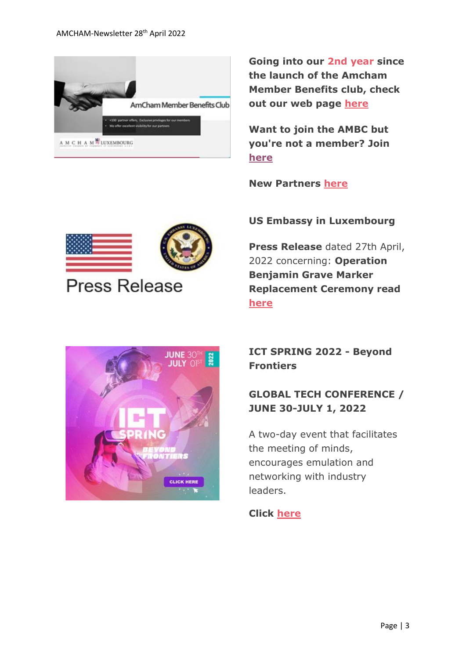

**Going into our 2nd year since the launch of the Amcham Member Benefits club, check out our web page [here](https://send.lola.lu/t/d-i-fyhddky-l-i/)**

**Want to join the AMBC but you're not a member? Join [here](https://send.lola.lu/t/d-i-fyhddky-l-d/)**

**New Partners [here](https://www.amcham.lu/newsletter/new-partners-as-of-28th-april-2022/)**

#### **US Embassy in Luxembourg**

**Press Release** dated 27th April, 2022 concerning: **Operation Benjamin Grave Marker Replacement Ceremony read [here](https://www.amcham.lu/newsletter/operation-benjamin-grave-marker-replacement-ceremony-held-at-the-luxembourg-american-cemetery/)**

# **JUNE 30** πш **CLICK HERE**

**Press Release** 

## **ICT SPRING 2022 - Beyond Frontiers**

## **GLOBAL TECH CONFERENCE / JUNE 30-JULY 1, 2022**

A two-day event that facilitates the meeting of minds, encourages emulation and networking with industry leaders.

## **Click [here](https://www.ictspring.com/)**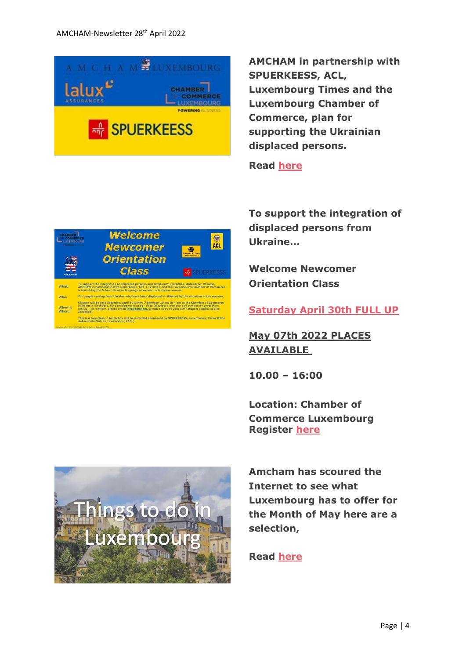

**Welcome** 

**Newcomer** 

**Orientation Class** 

oming from Ukraine who have been displaced or affected by the situation in the country

.<br>in Kirchberg, 60 participants max per class (displaced persons and ten Chamber of Comme<br>in Kirchberg, 60 participants max per class (displaced persons and temporary protection)<br>fo register, please email <u>info@amcham.lu</u>

This is a free class; a lunch box will be provided sponsored by SPUERKEESS, Luxembourg Times & the<br>Automobile Club du Luxembourg (ACL).

What

Who:

When &<br>Where:

**AMCHAM in partnership with SPUERKEESS, ACL, Luxembourg Times and the Luxembourg Chamber of Commerce, plan for supporting the Ukrainian displaced persons.**

**Read [here](https://www.amcham.lu/newsletter/the-amcham-lu-plan-for-supporting-the-ukrainian-refugees/)**

 $\circledast$ 

 $\bullet$ 

**To support the integration of displaced persons from Ukraine...**

**Welcome Newcomer Orientation Class**

**Saturday April 30th FULL UP**

**May 07th 2022 PLACES AVAILABLE**

**10.00 – 16:00**

**Location: Chamber of Commerce Luxembourg Register [here](https://www.amcham.lu/events/newcomer-orientation-courses-in-support-of-ukrainian-refugees-2/)**



**Amcham has scoured the Internet to see what Luxembourg has to offer for the Month of May here are a selection,** 

**Read [here](https://www.amcham.lu/newsletter/things-to-do-in-luxembourg-for-the-month-of-may-2022/)**

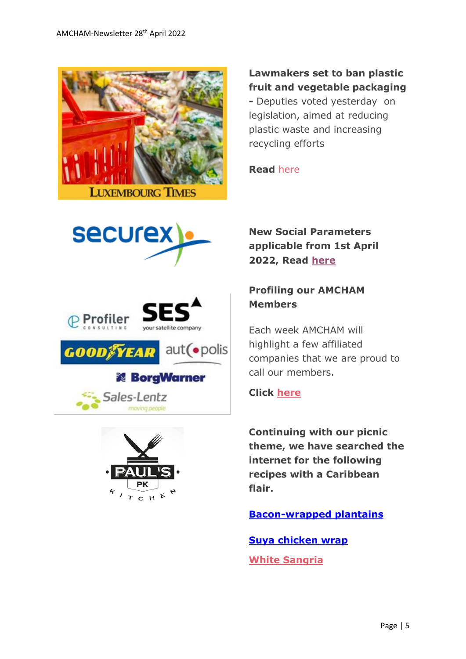

#### **Lawmakers set to ban plastic fruit and vegetable packaging**

**-** Deputies voted yesterday on legislation, aimed at reducing plastic waste and increasing recycling efforts

**Read** [here](https://www.luxtimes.lu/en/luxembourg/lawmakers-set-to-ban-plastic-fruit-and-vegetable-packaging-6265276ede135b9236b50019?utm_source=amcham_newsletter_&utm_medium=amcham_newsletter_&utm_term=amcham_newsletter_article_&utm_content=article_&utm_campaign=LT_AMCHAM_2022)











**New Social Parameters applicable from 1st April 2022, Read [here](https://send.lola.lu/t/d-l-fgtkdy-tdxlhyduy-p/)**

## **Profiling our AMCHAM Members**

Each week AMCHAM will highlight a few affiliated companies that we are proud to call our members.

#### **Click [here](https://www.amcham.lu/newsletter/profiling-our-amcham-members-28th-april-2022/)**

**Continuing with our picnic theme, we have searched the internet for the following recipes with a Caribbean flair.**

**[Bacon-wrapped plantains](https://www.africanbites.com/bacon-wrapped-plantain/)**

**[Suya chicken wrap](https://more.ctv.ca/food/recipes/suya-chicken-wrap.html) [White Sangria](https://www.africanbites.com/white-sangria/)**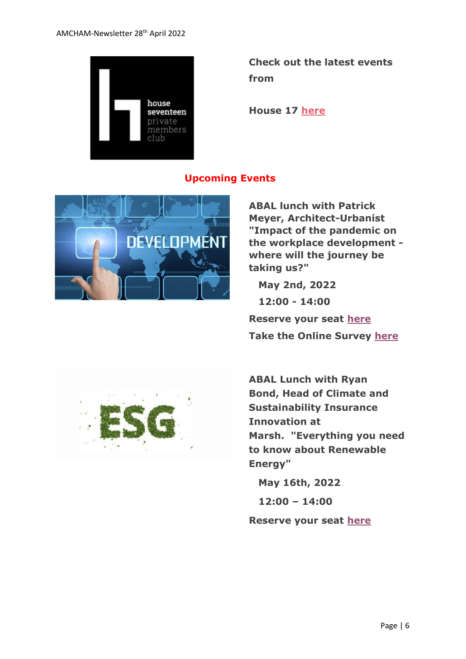

**Check out the latest events from** 

**House 17 [here](https://www.amcham.lu/newsletter/house-17-events/)**

#### **Upcoming Events**



**ABAL lunch with Patrick Meyer, Architect-Urbanist "Impact of the pandemic on the workplace development where will the journey be taking us?"**

 **May 2nd, 2022**

 **12:00 - 14:00**

**Reserve your seat [here](https://send.lola.lu/t/d-l-flkluhk-tdxlhyduy-w/) Take the Online Survey [here](https://send.lola.lu/t/d-l-flkluhk-tdxlhyduy-jl/)**



**ABAL Lunch with Ryan Bond, Head of Climate and Sustainability Insurance Innovation at Marsh. "Everything you need to know about Renewable Energy"**

 **May 16th, 2022**

 **12:00 – 14:00**

**Reserve your seat [here](https://send.lola.lu/t/d-l-flkluhk-tdxlhyduy-jr/)**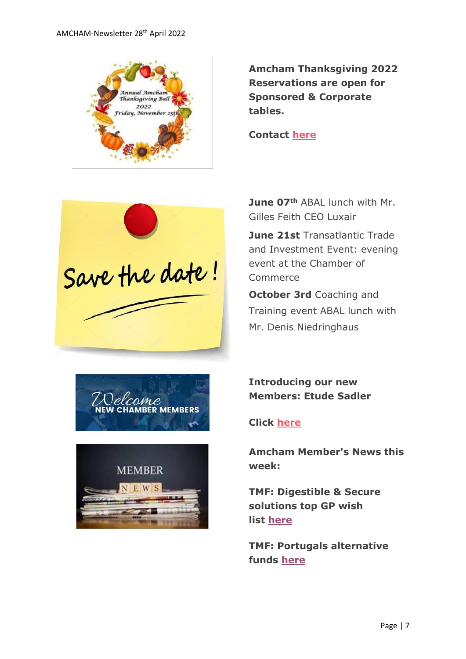

**Amcham Thanksgiving 2022 Reservations are open for Sponsored & Corporate tables.** 

**Contact [here](mailto:daniel@amcham.lu)**



**June 07th** ABAL lunch with Mr. Gilles Feith CEO Luxair

**June 21st** Transatlantic Trade and Investment Event: evening event at the Chamber of Commerce

**October 3rd** Coaching and Training event ABAL lunch with Mr. Denis Niedringhaus





**Introducing our new Members: Etude Sadler**

#### **Click [here](https://www.amcham.lu/newsletter/new-members-as-of-28th-april-2022/)**

**Amcham Member's News this week:**

**TMF: Digestible & Secure solutions top GP wish list [here](https://send.lola.lu/t/d-l-fyhddky-tdxlhyduy-g/)**

**TMF: Portugals alternative funds [here](https://send.lola.lu/t/d-l-fyhddky-tdxlhyduy-w/)**